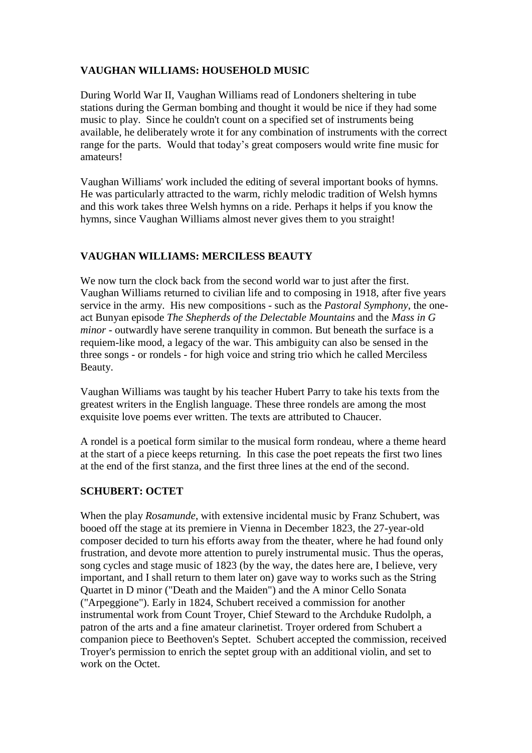## **VAUGHAN WILLIAMS: HOUSEHOLD MUSIC**

During World War II, Vaughan Williams read of Londoners sheltering in tube stations during the German bombing and thought it would be nice if they had some music to play. Since he couldn't count on a specified set of instruments being available, he deliberately wrote it for any combination of instruments with the correct range for the parts. Would that today's great composers would write fine music for amateurs!

Vaughan Williams' work included the editing of several important books of hymns. He was particularly attracted to the warm, richly melodic tradition of Welsh hymns and this work takes three Welsh hymns on a ride. Perhaps it helps if you know the hymns, since Vaughan Williams almost never gives them to you straight!

## **VAUGHAN WILLIAMS: MERCILESS BEAUTY**

We now turn the clock back from the second world war to just after the first. Vaughan Williams returned to civilian life and to composing in 1918, after five years service in the army. His new compositions - such as the *Pastoral Symphony*, the oneact Bunyan episode *The Shepherds of the Delectable Mountains* and the *Mass in G minor* - outwardly have serene tranquility in common. But beneath the surface is a requiem-like mood, a legacy of the war. This ambiguity can also be sensed in the three songs - or rondels - for high voice and string trio which he called Merciless Beauty.

Vaughan Williams was taught by his teacher Hubert Parry to take his texts from the greatest writers in the English language. These three rondels are among the most exquisite love poems ever written. The texts are attributed to Chaucer.

A rondel is a poetical form similar to the musical form rondeau, where a theme heard at the start of a piece keeps returning. In this case the poet repeats the first two lines at the end of the first stanza, and the first three lines at the end of the second.

## **SCHUBERT: OCTET**

When the play *Rosamunde*, with extensive incidental music by Franz Schubert, was booed off the stage at its premiere in Vienna in December 1823, the 27-year-old composer decided to turn his efforts away from the theater, where he had found only frustration, and devote more attention to purely instrumental music. Thus the operas, song cycles and stage music of 1823 (by the way, the dates here are, I believe, very important, and I shall return to them later on) gave way to works such as the String Quartet in D minor ("Death and the Maiden") and the A minor Cello Sonata ("Arpeggione"). Early in 1824, Schubert received a commission for another instrumental work from Count Troyer, Chief Steward to the Archduke Rudolph, a patron of the arts and a fine amateur clarinetist. Troyer ordered from Schubert a companion piece to Beethoven's Septet. Schubert accepted the commission, received Troyer's permission to enrich the septet group with an additional violin, and set to work on the Octet.